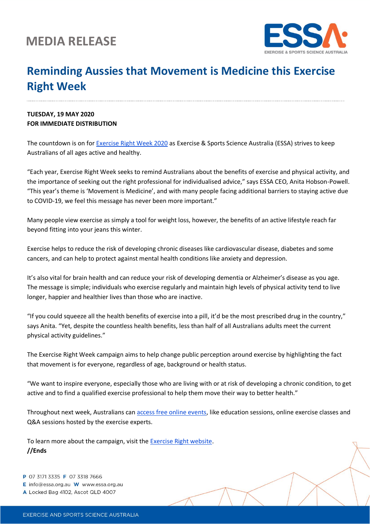## **MEDIA RELEASE**



## **Reminding Aussies that Movement is Medicine this Exercise Right Week**

## **TUESDAY, 19 MAY 2020 FOR IMMEDIATE DISTRIBUTION**

The countdown is on for **Exercise Right Week 2020** as Exercise & Sports Science Australia (ESSA) strives to keep Australians of all ages active and healthy.

"Each year, Exercise Right Week seeks to remind Australians about the benefits of exercise and physical activity, and the importance of seeking out the right professional for individualised advice," says ESSA CEO, Anita Hobson-Powell. "This year's theme is 'Movement is Medicine', and with many people facing additional barriers to staying active due to COVID-19, we feel this message has never been more important."

Many people view exercise as simply a tool for weight loss, however, the benefits of an active lifestyle reach far beyond fitting into your jeans this winter.

Exercise helps to reduce the risk of developing chronic diseases like cardiovascular disease, diabetes and some cancers, and can help to protect against mental health conditions like anxiety and depression.

It's also vital for brain health and can reduce your risk of developing dementia or Alzheimer's disease as you age. The message is simple; individuals who exercise regularly and maintain high levels of physical activity tend to live longer, happier and healthier lives than those who are inactive.

"If you could squeeze all the health benefits of exercise into a pill, it'd be the most prescribed drug in the country," says Anita. "Yet, despite the countless health benefits, less than half of all Australians adults meet the current physical activity guidelines."

The Exercise Right Week campaign aims to help change public perception around exercise by highlighting the fact that movement is for everyone, regardless of age, background or health status.

"We want to inspire everyone, especially those who are living with or at risk of developing a chronic condition, to get active and to find a qualified exercise professional to help them move their way to better health."

Throughout next week, Australians can [access free online events,](https://exerciseright.com.au/exercise-right-week-2020-events/) like education sessions, online exercise classes and Q&A sessions hosted by the exercise experts.

To learn more about the campaign, visit th[e Exercise Right website.](https://exerciseright.com.au/) **//Ends**

P 07 3171 3335 F 07 3318 7666

E info@essa.org.au W www.essa.org.au

A Locked Bag 4102, Ascot QLD 4007